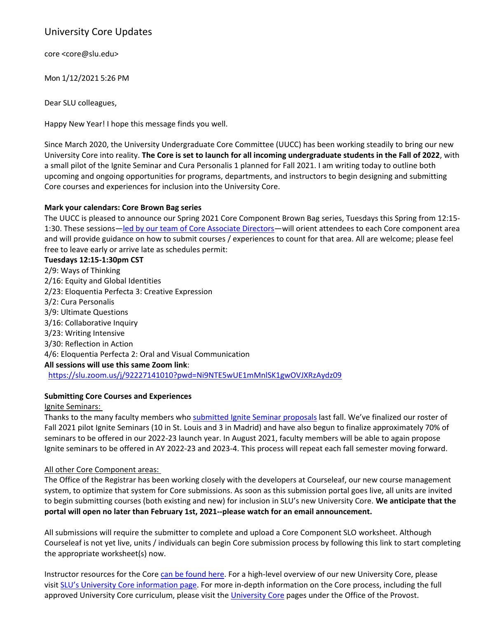## University Core Updates

core [<core@slu.edu>](mailto:core@slu.edu)

Mon 1/12/2021 5:26 PM

Dear SLU colleagues,

Happy New Year! I hope this message finds you well.

Since March 2020, the University Undergraduate Core Committee (UUCC) has been working steadily to bring our new University Core into reality. **The Core is set to launch for all incoming undergraduate students in the Fall of 2022**, with a small pilot of the Ignite Seminar and Cura Personalis 1 planned for Fall 2021. I am writing today to outline both upcoming and ongoing opportunities for programs, departments, and instructors to begin designing and submitting Core courses and experiences for inclusion into the University Core.

## **Mark your calendars: Core Brown Bag series**

The UUCC is pleased to announce our Spring 2021 Core Component Brown Bag series, Tuesdays this Spring from 12:15- 1:30. These sessions—led by our team of Core [Associate](https://www.slu.edu/provost/university-undergraduate-core/directory.php) Directors—will orient attendees to each Core component area and will provide guidance on how to submit courses / experiences to count for that area. All are welcome; please feel free to leave early or arrive late as schedules permit:

**Tuesdays 12:15-1:30pm CST** 2/9: Ways of Thinking 2/16: Equity and Global Identities 2/23: Eloquentia Perfecta 3: Creative Expression 3/2: Cura Personalis 3/9: Ultimate Questions 3/16: Collaborative Inquiry 3/23: Writing Intensive 3/30: Reflection in Action 4/6: Eloquentia Perfecta 2: Oral and Visual Communication **All sessions will use this same Zoom link**: <https://slu.zoom.us/j/92227141010?pwd=Ni9NTE5wUE1mMnlSK1gwOVJXRzAydz09>

## **Submitting Core Courses and Experiences**

Ignite Seminars:

Thanks to the many faculty members who [submitted](https://sites.google.com/slu.edu/university-core-pilot/introducing-the-ignite-seminar?authuser=0) Ignite Seminar proposals last fall. We've finalized our roster of Fall 2021 pilot Ignite Seminars (10 in St. Louis and 3 in Madrid) and have also begun to finalize approximately 70% of seminars to be offered in our 2022-23 launch year. In August 2021, faculty members will be able to again propose Ignite seminars to be offered in AY 2022-23 and 2023-4. This process will repeat each fall semester moving forward.

## All other Core Component areas:

The Office of the Registrar has been working closely with the developers at Courseleaf, our new course management system, to optimize that system for Core submissions. As soon as this submission portal goes live, all units are invited to begin submitting courses (both existing and new) for inclusion in SLU's new University Core. **We anticipate that the portal will open no later than February 1st, 2021--please watch for an email announcement.**

All submissions will require the submitter to complete and upload a Core Component SLO worksheet. Although Courseleaf is not yet live, units / individuals can begin Core submission process by following this link to start completing the appropriate worksheet(s) now.

Instructor resources for the Core can be [found](https://sites.google.com/slu.edu/university-core-pilot/home?pli=1&authuser=1) here. For a high-level overview of our new University Core, please visit SLU's University Core [information](https://www.slu.edu/core/index.php) page. For more in-depth information on the Core process, including the full approved [University](https://www.slu.edu/provost/university-undergraduate-core/index.php) Core curriculum, please visit the University Core pages under the Office of the Provost.